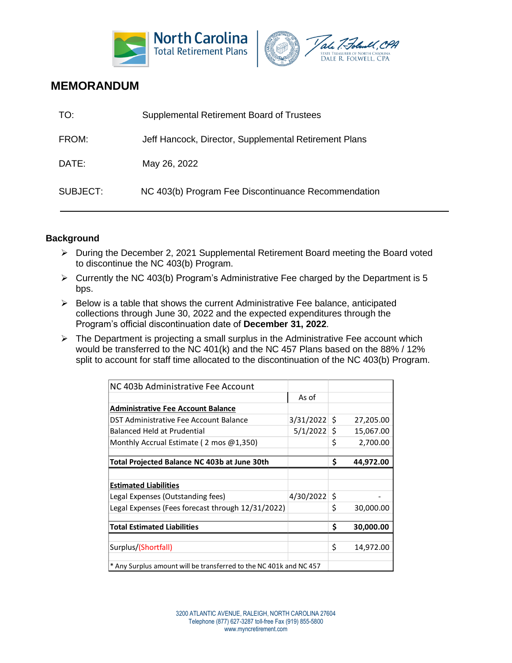



## **MEMORANDUM**

| TO:      | Supplemental Retirement Board of Trustees             |
|----------|-------------------------------------------------------|
| FROM:    | Jeff Hancock, Director, Supplemental Retirement Plans |
| DATE:    | May 26, 2022                                          |
| SUBJECT: | NC 403(b) Program Fee Discontinuance Recommendation   |

## **Background**

- ➢ During the December 2, 2021 Supplemental Retirement Board meeting the Board voted to discontinue the NC 403(b) Program.
- $\triangleright$  Currently the NC 403(b) Program's Administrative Fee charged by the Department is 5 bps.
- ➢ Below is a table that shows the current Administrative Fee balance, anticipated collections through June 30, 2022 and the expected expenditures through the Program's official discontinuation date of **December 31, 2022**.
- $\triangleright$  The Department is projecting a small surplus in the Administrative Fee account which would be transferred to the NC 401(k) and the NC 457 Plans based on the 88% / 12% split to account for staff time allocated to the discontinuation of the NC 403(b) Program.

| NC 403b Administrative Fee Account                                 |                |    |           |
|--------------------------------------------------------------------|----------------|----|-----------|
|                                                                    | As of          |    |           |
| <b>Administrative Fee Account Balance</b>                          |                |    |           |
| DST Administrative Fee Account Balance                             | $3/31/2022$ \$ |    | 27,205.00 |
| Balanced Held at Prudential                                        | $5/1/2022$ \$  |    | 15,067.00 |
| Monthly Accrual Estimate (2 mos @1,350)                            |                |    | 2,700.00  |
|                                                                    |                |    |           |
| Total Projected Balance NC 403b at June 30th                       |                |    | 44,972.00 |
|                                                                    |                |    |           |
| <b>Estimated Liabilities</b>                                       |                |    |           |
| Legal Expenses (Outstanding fees)                                  | 4/30/2022      | \$ |           |
| Legal Expenses (Fees forecast through 12/31/2022)                  |                | \$ | 30,000.00 |
|                                                                    |                |    |           |
| <b>Total Estimated Liabilities</b>                                 |                |    | 30,000.00 |
|                                                                    |                |    |           |
| Surplus/(Shortfall)                                                |                | \$ | 14,972.00 |
|                                                                    |                |    |           |
| * Any Surplus amount will be transferred to the NC 401k and NC 457 |                |    |           |